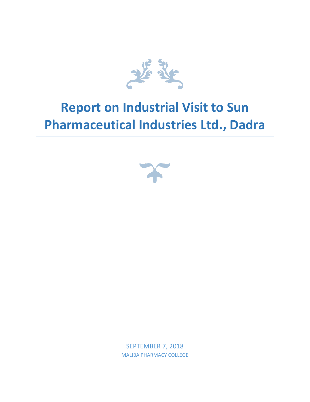

## **Report on Industrial Visit to Sun Pharmaceutical Industries Ltd., Dadra**



SEPTEMBER 7, 2018 MALIBA PHARMACY COLLEGE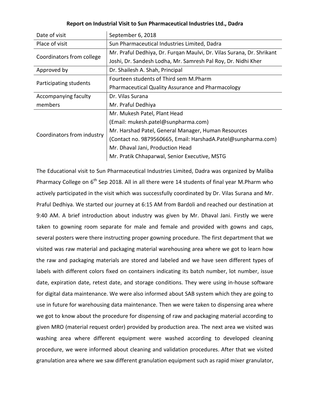## **Report on Industrial Visit to Sun Pharmaceutical Industries Ltd., Dadra**

| Date of visit              | September 6, 2018                                                     |
|----------------------------|-----------------------------------------------------------------------|
| Place of visit             | Sun Pharmaceutical Industries Limited, Dadra                          |
| Coordinators from college  | Mr. Praful Dedhiya, Dr. Furgan Maulvi, Dr. Vilas Surana, Dr. Shrikant |
|                            | Joshi, Dr. Sandesh Lodha, Mr. Samresh Pal Roy, Dr. Nidhi Kher         |
| Approved by                | Dr. Shailesh A. Shah, Principal                                       |
| Participating students     | Fourteen students of Third sem M.Pharm                                |
|                            | <b>Pharmaceutical Quality Assurance and Pharmacology</b>              |
| Accompanying faculty       | Dr. Vilas Surana                                                      |
| members                    | Mr. Praful Dedhiya                                                    |
| Coordinators from industry | Mr. Mukesh Patel, Plant Head                                          |
|                            | (Email: mukesh.patel@sunpharma.com)                                   |
|                            | Mr. Harshad Patel, General Manager, Human Resources                   |
|                            | (Contact no. 9879560665, Email: HarshadA.Patel@sunpharma.com)         |
|                            | Mr. Dhaval Jani, Production Head                                      |
|                            | Mr. Pratik Chhaparwal, Senior Executive, MSTG                         |

The Educational visit to Sun Pharmaceutical Industries Limited, Dadra was organized by Maliba Pharmacy College on  $6<sup>th</sup>$  Sep 2018. All in all there were 14 students of final year M.Pharm who actively participated in the visit which was successfully coordinated by Dr. Vilas Surana and Mr. Praful Dedhiya. We started our journey at 6:15 AM from Bardoli and reached our destination at 9:40 AM. A brief introduction about industry was given by Mr. Dhaval Jani. Firstly we were taken to gowning room separate for male and female and provided with gowns and caps, several posters were there instructing proper gowning procedure. The first department that we visited was raw material and packaging material warehousing area where we got to learn how the raw and packaging materials are stored and labeled and we have seen different types of labels with different colors fixed on containers indicating its batch number, lot number, issue date, expiration date, retest date, and storage conditions. They were using in-house software for digital data maintenance. We were also informed about SAB system which they are going to use in future for warehousing data maintenance. Then we were taken to dispensing area where we got to know about the procedure for dispensing of raw and packaging material according to given MRO (material request order) provided by production area. The next area we visited was washing area where different equipment were washed according to developed cleaning procedure, we were informed about cleaning and validation procedures. After that we visited granulation area where we saw different granulation equipment such as rapid mixer granulator,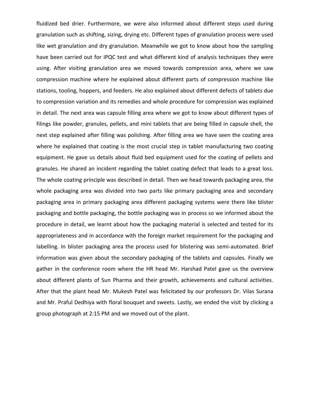fluidized bed drier. Furthermore, we were also informed about different steps used during granulation such as shifting, sizing, drying etc. Different types of granulation process were used like wet granulation and dry granulation. Meanwhile we got to know about how the sampling have been carried out for IPQC test and what different kind of analysis techniques they were using. After visiting granulation area we moved towards compression area, where we saw compression machine where he explained about different parts of compression machine like stations, tooling, hoppers, and feeders. He also explained about different defects of tablets due to compression variation and its remedies and whole procedure for compression was explained in detail. The next area was capsule filling area where we got to know about different types of filings like powder, granules, pellets, and mini tablets that are being filled in capsule shell, the next step explained after filling was polishing. After filling area we have seen the coating area where he explained that coating is the most crucial step in tablet manufacturing two coating equipment. He gave us details about fluid bed equipment used for the coating of pellets and granules. He shared an incident regarding the tablet coating defect that leads to a great loss. The whole coating principle was described in detail. Then we head towards packaging area, the whole packaging area was divided into two parts like primary packaging area and secondary packaging area in primary packaging area different packaging systems were there like blister packaging and bottle packaging, the bottle packaging was in process so we informed about the procedure in detail, we learnt about how the packaging material is selected and tested for its appropriateness and in accordance with the foreign market requirement for the packaging and labelling. In blister packaging area the process used for blistering was semi-automated. Brief information was given about the secondary packaging of the tablets and capsules. Finally we gather in the conference room where the HR head Mr. Harshad Patel gave us the overview about different plants of Sun Pharma and their growth, achievements and cultural activities. After that the plant head Mr. Mukesh Patel was felicitated by our professors Dr. Vilas Surana and Mr. Praful Dedhiya with floral bouquet and sweets. Lastly, we ended the visit by clicking a group photograph at 2:15 PM and we moved out of the plant.